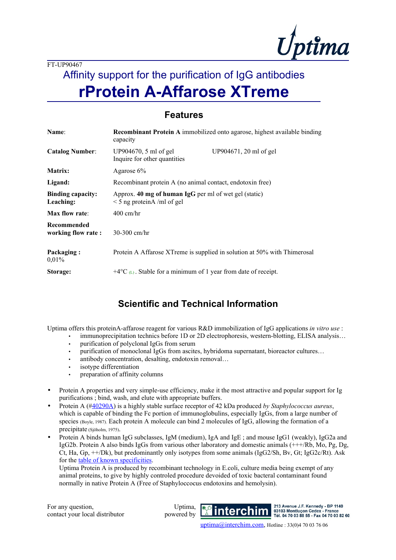

# Affinity support for the purification of IgG antibodies **rProtein A-Affarose XTreme**

### **Features**

| Name:                                 | <b>Recombinant Protein A</b> immobilized onto agarose, highest available binding<br>capacity |  |
|---------------------------------------|----------------------------------------------------------------------------------------------|--|
| <b>Catalog Number:</b>                | UP904670, 5 ml of gel<br>UP904671, 20 ml of gel<br>Inquire for other quantities              |  |
| Matrix:                               | Agarose $6\%$                                                                                |  |
| Ligand:                               | Recombinant protein A (no animal contact, endotoxin free)                                    |  |
| <b>Binding capacity:</b><br>Leaching: | Approx. 40 mg of human IgG per ml of wet gel (static)<br>$\leq$ 5 ng proteinA /ml of gel     |  |
| Max flow rate:                        | $400 \text{ cm/hr}$                                                                          |  |
| Recommended<br>working flow rate:     | $30-300$ cm/hr                                                                               |  |
| Packaging:<br>0.01%                   | Protein A Affarose XTreme is supplied in solution at 50% with Thimerosal                     |  |
| Storage:                              | +4 $\rm{^{\circ}C}$ (L). Stable for a minimum of 1 year from date of receipt.                |  |

## **Scientific and Technical Information**

Uptima offers this proteinA-affarose reagent for various R&D immobilization of IgG applications *in vitro use* :

- immunoprecipitation technics before 1D or 2D electrophoresis, western-blotting, ELISA analysis…
	- purification of polyclonal IgGs from serum
	- purification of monoclonal IgGs from ascites, hybridoma supernatant, bioreactor cultures…
	- antibody concentration, desalting, endotoxin removal...
	- isotype differentiation
	- preparation of affinity columns
- Protein A properties and very simple-use efficiency, make it the most attractive and popular support for Ig purifications ; bind, wash, and elute with appropriate buffers.
- Protein A ([#40290A\)](file:///J:/a.BioCommun-Fournisseurs/Uptima/UPTIMA.FT.FichesTechn/FT-40290(ProteinA).doc) is a highly stable surface receptor of 42 kDa produced *by Staphylococcus aureus*, which is capable of binding the Fc portion of immunoglobulins, especially IgGs, from a large number of species (Boyle, 1987). Each protein A molecule can bind 2 molecules of IgG, allowing the formation of a precipitate (Sjöholm, 1975).
- Protein A binds human IgG subclasses, IgM (medium), IgA and IgE ; and mouse IgG1 (weakly), IgG2a and IgG2b. Protein A also binds IgGs from various other laboratory and domestic animals (+++/Rb, Mo, Pg, Dg, Ct, Ha, Gp, ++/Dk), but predominantly only isotypes from some animals (IgG2/Sh, Bv, Gt; IgG2c/Rt). Ask for the [table of known specificities](file:///J:/a.BioCommun-Fournisseurs/Uptima/UPTIMA.FT.FichesTechn/FT-40290(ProteinA).doc).

Uptima Protein A is produced by recombinant technology in E.coli, culture media being exempt of any animal proteins, to give by highly controled procedure devoided of toxic bacteral contaminant found normally in native Protein A (Free of Staphyloccocus endotoxins and hemolysin).

For any question, contact your local distributor

Uptima, powered by



213 Avenue J.F. Kennedy - BP 1140 03103 Montlucon Cedex **France** Tél. 04 70 03 88 55 - Fax 04 70 03 82 60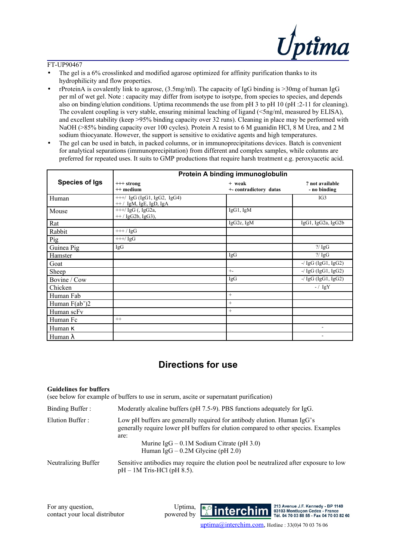

- The gel is a 6% crosslinked and modified agarose optimized for affinity purification thanks to its hydrophilicity and flow properties.
- rProteinA is covalently link to agarose, (3.5mg/ml). The capacity of IgG binding is >30mg of human IgG per ml of wet gel. Note : capacity may differ from isotype to isotype, from species to species, and depends also on binding/elution conditions. Uptima recommends the use from pH 3 to pH 10 (pH :2-11 for cleaning). The covalent coupling is very stable, ensuring minimal leaching of ligand (<5ng/ml, measured by ELISA), and excellent stability (keep >95% binding capacity over 32 runs). Cleaning in place may be performed with NaOH (>85% binding capacity over 100 cycles). Protein A resist to 6 M guanidin HCl, 8 M Urea, and 2 M sodium thiocyanate. However, the support is sensitive to oxidative agents and high temperatures.
- The gel can be used in batch, in packed columns, or in immunoprecipitations devices. Batch is convenient for analytical separations (immunoprecipitation) from different and complex samples, while columns are preferred for repeated uses. It suits to GMP productions that require harsh treatment e.g. peroxyacetic acid.

|                       | Protein A binding immunoglobulin                         |                                  |                                 |  |
|-----------------------|----------------------------------------------------------|----------------------------------|---------------------------------|--|
| <b>Species of Igs</b> | $++$ strong<br>++ medium                                 | + weak<br>+- contradictory datas | ? not available<br>- no binding |  |
| Human                 | $++/$ IgG (IgG1, IgG2, IgG4)<br>$++/$ IgM, IgE, IgD, IgA |                                  | IG3                             |  |
| Mouse                 | $++$ / IgG (, IgG2a,<br>$++$ / IgG2b, IgG3),             | IgG1, IgM                        |                                 |  |
| Rat                   |                                                          | IgG2c, IgM                       | $IgG1$ , $IgG2a$ , $IgG2b$      |  |
| Rabbit                | $++$ / $IgG$                                             |                                  |                                 |  |
| Pig                   | $++$ / IgG                                               |                                  |                                 |  |
| Guinea Pig            | IgG                                                      |                                  | $?$ / IgG                       |  |
| Hamster               |                                                          | IgG                              | $?$ / IgG                       |  |
| Goat                  |                                                          |                                  | $-$ / IgG (IgG1, IgG2)          |  |
| Sheep                 |                                                          | $+$                              | $-$ / IgG (IgG1, IgG2)          |  |
| Bovine / Cow          |                                                          | IgG                              | $-$ / IgG (IgG1, IgG2)          |  |
| Chicken               |                                                          |                                  | $- / \lg Y$                     |  |
| Human Fab             |                                                          | $^{+}$                           |                                 |  |
| Human $F(ab')2$       |                                                          | $^{+}$                           |                                 |  |
| Human scFv            |                                                          | $^{+}$                           |                                 |  |
| Human Fc              | $^{++}$                                                  |                                  |                                 |  |
| Human $\kappa$        |                                                          |                                  |                                 |  |
| Human $\lambda$       |                                                          |                                  |                                 |  |

### **Directions for use**

#### **Guidelines for buffers**

(see below for example of buffers to use in serum, ascite or supernatant purification)

| Binding Buffer:     | Moderatly alcaline buffers (pH 7.5-9). PBS functions adequately for IgG.                                                                                      |
|---------------------|---------------------------------------------------------------------------------------------------------------------------------------------------------------|
| Elution Buffer:     | Low pH buffers are generally required for antibody elution. Human IgG's<br>generally require lower pH buffers for elution compared to other species. Examples |
|                     | are:<br>Murine $IgG - 0.1M$ Sodium Citrate (pH 3.0)<br>Human IgG $-0.2M$ Glycine (pH 2.0)                                                                     |
| Neutralizing Buffer | Sensitive antibodies may require the elution pool be neutralized after exposure to low<br>$pH - 1M$ Tris-HCl ( $pH$ 8.5).                                     |

Uptima, powered by



213 Avenue J.F. Kennedy - BP 1140 03103 Montluçon Cedex - France<br>Tél. 04 70 03 88 55 - Fax 04 70 03 82 60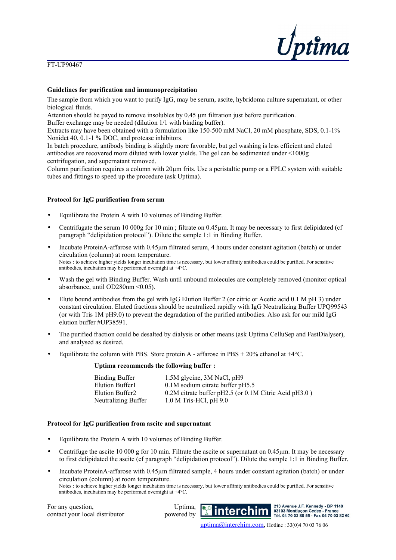

#### **Guidelines for purification and immunoprecipitation**

The sample from which you want to purify IgG, may be serum, ascite, hybridoma culture supernatant, or other biological fluids.

Attention should be payed to remove insolubles by 0.45 µm filtration just before purification.

Buffer exchange may be needed (dilution 1/1 with binding buffer).

Extracts may have been obtained with a formulation like 150-500 mM NaCl, 20 mM phosphate, SDS, 0.1-1% Nonidet 40, 0.1-1 % DOC, and protease inhibitors.

In batch procedure, antibody binding is slightly more favorable, but gel washing is less efficient and eluted antibodies are recovered more diluted with lower yields. The gel can be sedimented under <1000g centrifugation, and supernatant removed.

Column purification requires a column with  $20\mu m$  frits. Use a peristaltic pump or a FPLC system with suitable tubes and fittings to speed up the procedure (ask Uptima).

#### **Protocol for IgG purification from serum**

- Equilibrate the Protein A with 10 volumes of Binding Buffer.
- Centrifugate the serum 10 000g for 10 min ; filtrate on 0.45µm. It may be necessary to first delipidated (cf paragraph "delipidation protocol"). Dilute the sample 1:1 in Binding Buffer.
- Incubate ProteinA-affarose with 0.45µm filtrated serum, 4 hours under constant agitation (batch) or under circulation (column) at room temperature. Notes : to achieve higher yields longer incubation time is necessary, but lower affinity antibodies could be purified. For sensitive antibodies, incubation may be performed overnight at +4°C.
- Wash the gel with Binding Buffer. Wash until unbound molecules are completely removed (monitor optical absorbance, until OD280nm <0.05).
- Elute bound antibodies from the gel with IgG Elution Buffer 2 (or citric or Acetic acid 0.1 M pH 3) under constant circulation. Eluted fractions should be neutralized rapidly with IgG Neutralizing Buffer UPQ99543 (or with Tris 1M pH9.0) to prevent the degradation of the purified antibodies. Also ask for our mild IgG elution buffer #UP38591.
- The purified fraction could be desalted by dialysis or other means (ask Uptima CelluSep and FastDialyser), and analysed as desired.
- Equilibrate the column with PBS. Store protein A affarose in PBS  $+ 20\%$  ethanol at  $+4\degree$ C.

#### **Uptima recommends the following buffer :**

| 1.5M glycine, 3M NaCl, pH9                            |
|-------------------------------------------------------|
| $0.1M$ sodium citrate buffer pH5.5                    |
| 0.2M citrate buffer pH2.5 (or 0.1M Citric Acid pH3.0) |
| $1.0 M$ Tris-HCl, pH $9.0$                            |
|                                                       |

#### **Protocol for IgG purification from ascite and supernatant**

- Equilibrate the Protein A with 10 volumes of Binding Buffer.
- Centrifuge the ascite 10 000 g for 10 min. Filtrate the ascite or supernatant on  $0.45 \mu m$ . It may be necessary to first delipidated the ascite (cf paragraph "delipidation protocol"). Dilute the sample 1:1 in Binding Buffer.
- Incubate ProteinA-affarose with 0.45µm filtrated sample, 4 hours under constant agitation (batch) or under circulation (column) at room temperature. Notes : to achieve higher yields longer incubation time is necessary, but lower affinity antibodies could be purified. For sensitive antibodies, incubation may be performed overnight at +4°C.

For any question, contact your local distributor

Uptima, powered by



213 Avenue J.F. Kennedy - BP 1140 03103 Montlucon Cedex **France** Tél. 04 70 03 88 55 - Fax 04 70 03 82 60